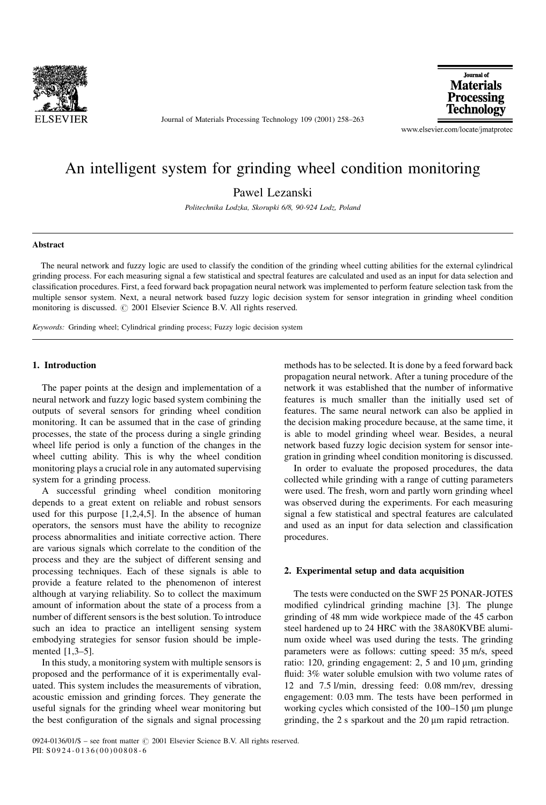

Journal of Materials Processing Technology 109 (2001) 258-263



www.elsevier.com/locate/jmatprotec

# An intelligent system for grinding wheel condition monitoring

Pawel Lezanski

Politechnika Lodzka, Skorupki 6/8, 90-924 Lodz, Poland

### Abstract

The neural network and fuzzy logic are used to classify the condition of the grinding wheel cutting abilities for the external cylindrical grinding process. For each measuring signal a few statistical and spectral features are calculated and used as an input for data selection and classification procedures. First, a feed forward back propagation neural network was implemented to perform feature selection task from the multiple sensor system. Next, a neural network based fuzzy logic decision system for sensor integration in grinding wheel condition monitoring is discussed.  $\odot$  2001 Elsevier Science B.V. All rights reserved.

Keywords: Grinding wheel; Cylindrical grinding process; Fuzzy logic decision system

# 1. Introduction

The paper points at the design and implementation of a neural network and fuzzy logic based system combining the outputs of several sensors for grinding wheel condition monitoring. It can be assumed that in the case of grinding processes, the state of the process during a single grinding wheel life period is only a function of the changes in the wheel cutting ability. This is why the wheel condition monitoring plays a crucial role in any automated supervising system for a grinding process.

A successful grinding wheel condition monitoring depends to a great extent on reliable and robust sensors used for this purpose [1,2,4,5]. In the absence of human operators, the sensors must have the ability to recognize process abnormalities and initiate corrective action. There are various signals which correlate to the condition of the process and they are the subject of different sensing and processing techniques. Each of these signals is able to provide a feature related to the phenomenon of interest although at varying reliability. So to collect the maximum amount of information about the state of a process from a number of different sensors is the best solution. To introduce such an idea to practice an intelligent sensing system embodying strategies for sensor fusion should be implemented  $[1,3-5]$ .

In this study, a monitoring system with multiple sensors is proposed and the performance of it is experimentally evaluated. This system includes the measurements of vibration, acoustic emission and grinding forces. They generate the useful signals for the grinding wheel wear monitoring but the best configuration of the signals and signal processing methods has to be selected. It is done by a feed forward back propagation neural network. After a tuning procedure of the network it was established that the number of informative features is much smaller than the initially used set of features. The same neural network can also be applied in the decision making procedure because, at the same time, it is able to model grinding wheel wear. Besides, a neural network based fuzzy logic decision system for sensor integration in grinding wheel condition monitoring is discussed.

In order to evaluate the proposed procedures, the data collected while grinding with a range of cutting parameters were used. The fresh, worn and partly worn grinding wheel was observed during the experiments. For each measuring signal a few statistical and spectral features are calculated and used as an input for data selection and classification procedures.

#### 2. Experimental setup and data acquisition

The tests were conducted on the SWF 25 PONAR-JOTES modified cylindrical grinding machine [3]. The plunge grinding of 48 mm wide workpiece made of the 45 carbon steel hardened up to 24 HRC with the 38A80KVBE aluminum oxide wheel was used during the tests. The grinding parameters were as follows: cutting speed: 35 m/s, speed ratio: 120, grinding engagement:  $2$ ,  $5$  and  $10 \mu m$ , grinding fluid: 3% water soluble emulsion with two volume rates of 12 and 7.5 l/min, dressing feed: 0.08 mm/rev, dressing engagement: 0.03 mm. The tests have been performed in working cycles which consisted of the  $100-150 \mu m$  plunge grinding, the  $2$  s sparkout and the  $20 \mu m$  rapid retraction.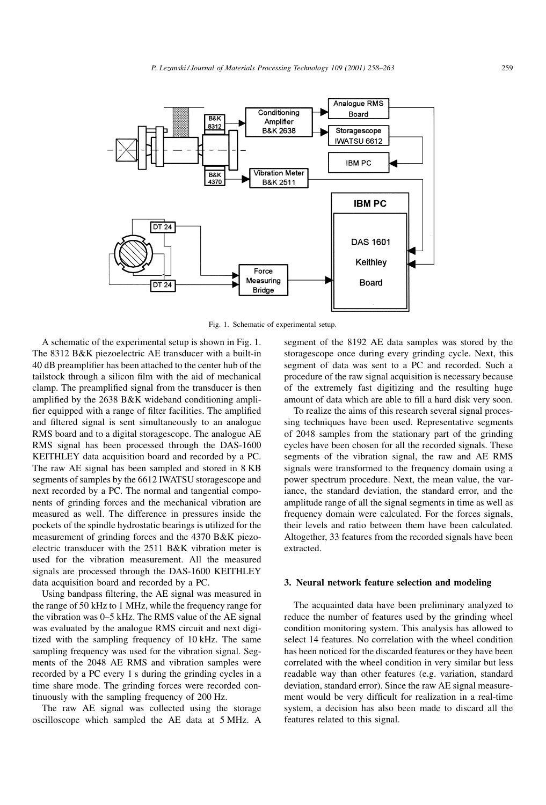

Fig. 1. Schematic of experimental setup.

A schematic of the experimental setup is shown in Fig. 1. The 8312 B&K piezoelectric AE transducer with a built-in 40 dB preamplifier has been attached to the center hub of the tailstock through a silicon film with the aid of mechanical clamp. The preamplified signal from the transducer is then amplified by the  $2638$  B&K wideband conditioning amplifier equipped with a range of filter facilities. The amplified and filtered signal is sent simultaneously to an analogue RMS board and to a digital storagescope. The analogue AE RMS signal has been processed through the DAS-1600 KEITHLEY data acquisition board and recorded by a PC. The raw AE signal has been sampled and stored in 8 KB segments of samples by the 6612 IWATSU storagescope and next recorded by a PC. The normal and tangential components of grinding forces and the mechanical vibration are measured as well. The difference in pressures inside the pockets of the spindle hydrostatic bearings is utilized for the measurement of grinding forces and the 4370 B&K piezoelectric transducer with the 2511 B&K vibration meter is used for the vibration measurement. All the measured signals are processed through the DAS-1600 KEITHLEY data acquisition board and recorded by a PC.

Using bandpass filtering, the AE signal was measured in the range of 50 kHz to 1 MHz, while the frequency range for the vibration was  $0-5$  kHz. The RMS value of the AE signal was evaluated by the analogue RMS circuit and next digitized with the sampling frequency of 10 kHz. The same sampling frequency was used for the vibration signal. Segments of the 2048 AE RMS and vibration samples were recorded by a PC every 1 s during the grinding cycles in a time share mode. The grinding forces were recorded continuously with the sampling frequency of 200 Hz.

The raw AE signal was collected using the storage oscilloscope which sampled the AE data at 5 MHz. A segment of the 8192 AE data samples was stored by the storagescope once during every grinding cycle. Next, this segment of data was sent to a PC and recorded. Such a procedure of the raw signal acquisition is necessary because of the extremely fast digitizing and the resulting huge amount of data which are able to fill a hard disk very soon.

To realize the aims of this research several signal processing techniques have been used. Representative segments of 2048 samples from the stationary part of the grinding cycles have been chosen for all the recorded signals. These segments of the vibration signal, the raw and AE RMS signals were transformed to the frequency domain using a power spectrum procedure. Next, the mean value, the variance, the standard deviation, the standard error, and the amplitude range of all the signal segments in time as well as frequency domain were calculated. For the forces signals, their levels and ratio between them have been calculated. Altogether, 33 features from the recorded signals have been extracted.

# 3. Neural network feature selection and modeling

The acquainted data have been preliminary analyzed to reduce the number of features used by the grinding wheel condition monitoring system. This analysis has allowed to select 14 features. No correlation with the wheel condition has been noticed for the discarded features or they have been correlated with the wheel condition in very similar but less readable way than other features (e.g. variation, standard deviation, standard error). Since the raw AE signal measurement would be very difficult for realization in a real-time system, a decision has also been made to discard all the features related to this signal.